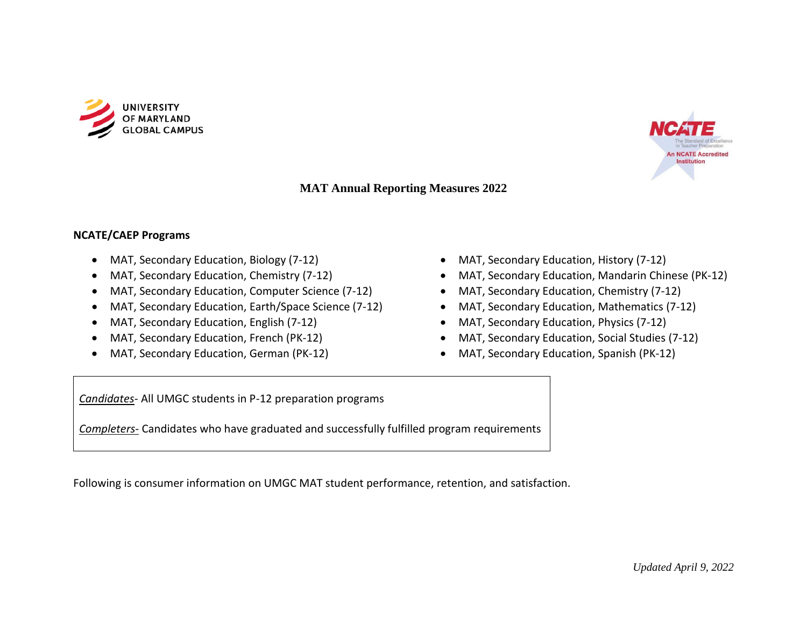



### **MAT Annual Reporting Measures 2022**

#### **NCATE/CAEP Programs**

- MAT, Secondary Education, Biology (7-12)
- MAT, Secondary Education, Chemistry (7-12)
- MAT, Secondary Education, Computer Science (7-12)
- MAT, Secondary Education, Earth/Space Science (7-12)
- MAT, Secondary Education, English (7-12)
- MAT, Secondary Education, French (PK-12)
- MAT, Secondary Education, German (PK-12)
- MAT, Secondary Education, History (7-12)
- MAT, Secondary Education, Mandarin Chinese (PK-12)
- MAT, Secondary Education, Chemistry (7-12)
- MAT, Secondary Education, Mathematics (7-12)
- MAT, Secondary Education, Physics (7-12)
- MAT, Secondary Education, Social Studies (7-12)
- MAT, Secondary Education, Spanish (PK-12)

*Candidates*- All UMGC students in P-12 preparation programs

*Completers*- Candidates who have graduated and successfully fulfilled program requirements

Following is consumer information on UMGC MAT student performance, retention, and satisfaction.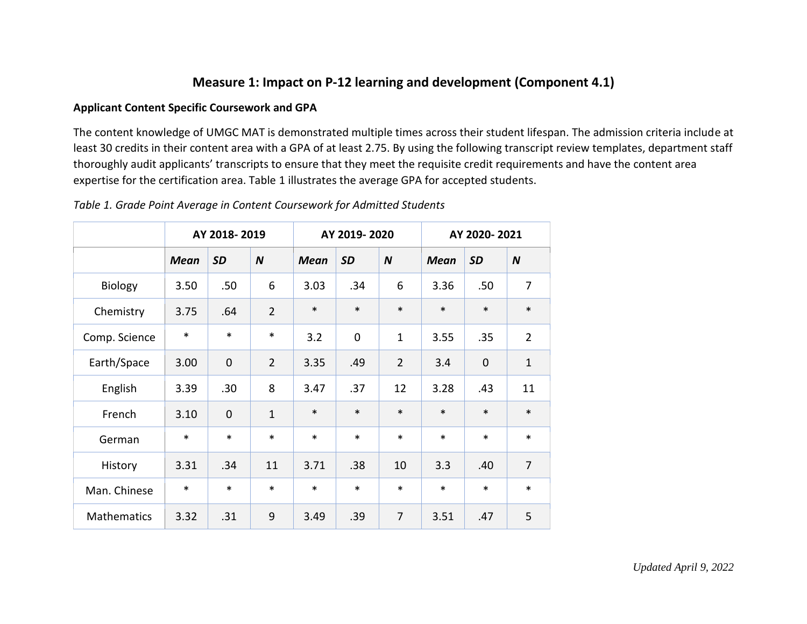## **Measure 1: Impact on P-12 learning and development (Component 4.1)**

#### **Applicant Content Specific Coursework and GPA**

The content knowledge of UMGC MAT is demonstrated multiple times across their student lifespan. The admission criteria include at least 30 credits in their content area with a GPA of at least 2.75. By using the following transcript review templates, department staff thoroughly audit applicants' transcripts to ensure that they meet the requisite credit requirements and have the content area expertise for the certification area. Table 1 illustrates the average GPA for accepted students.

|  |  |  | Table 1. Grade Point Average in Content Coursework for Admitted Students |
|--|--|--|--------------------------------------------------------------------------|
|--|--|--|--------------------------------------------------------------------------|

|               |             | AY 2018-2019   |                  |             | AY 2019-2020 |                  | AY 2020-2021 |             |                  |  |
|---------------|-------------|----------------|------------------|-------------|--------------|------------------|--------------|-------------|------------------|--|
|               | <b>Mean</b> | <b>SD</b>      | $\boldsymbol{N}$ | <b>Mean</b> | <b>SD</b>    | $\boldsymbol{N}$ | <b>Mean</b>  | <b>SD</b>   | $\boldsymbol{N}$ |  |
| Biology       | 3.50        | .50            | 6                | 3.03        | .34          | 6                | 3.36         | .50         | $\overline{7}$   |  |
| Chemistry     | 3.75        | .64            | $\overline{2}$   | $\ast$      | $\ast$       | $\ast$           | $\ast$       | $\ast$      | $\ast$           |  |
| Comp. Science | $\ast$      | *              | $\ast$           | 3.2         | $\mathbf 0$  | $\mathbf 1$      | 3.55         | .35         | $\overline{2}$   |  |
| Earth/Space   | 3.00        | $\mathbf 0$    | $\overline{2}$   | 3.35        | .49          | $\overline{2}$   | 3.4          | $\mathbf 0$ | $\mathbf{1}$     |  |
| English       | 3.39        | .30            | 8                | 3.47        | .37          | 12               | 3.28         | .43         | 11               |  |
| French        | 3.10        | $\overline{0}$ | $\mathbf{1}$     | $\ast$      | $\ast$       | $\ast$           | $\ast$       | $\ast$      | $\ast$           |  |
| German        | $\ast$      | *              | $\ast$           | $\ast$      | $\ast$       | $\ast$           | $\ast$       | $\ast$      | $\ast$           |  |
| History       | 3.31        | .34            | 11               | 3.71        | .38          | 10               | 3.3          | .40         | $\overline{7}$   |  |
| Man. Chinese  | $\ast$      | *              | $\ast$           | $\ast$      | $\ast$       | $\ast$           | $\ast$       | $\ast$      | $\ast$           |  |
| Mathematics   | 3.32        | .31            | 9                | 3.49        | .39          | $\overline{7}$   | 3.51         | .47         | 5                |  |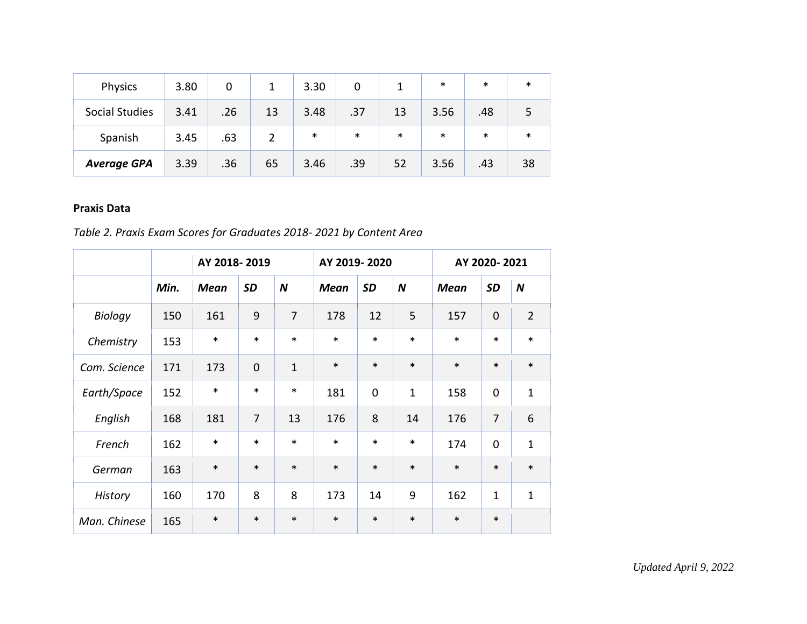| Physics               | 3.80 | 0   |    | 3.30   |        |    | $\ast$ | $\ast$ | $\ast$ |
|-----------------------|------|-----|----|--------|--------|----|--------|--------|--------|
| <b>Social Studies</b> | 3.41 | .26 | 13 | 3.48   | .37    | 13 | 3.56   | .48    |        |
| Spanish               | 3.45 | .63 |    | $\ast$ | $\ast$ | ∗  | $\ast$ | $\ast$ | $\ast$ |
| <b>Average GPA</b>    | 3.39 | .36 | 65 | 3.46   | .39    | 52 | 3.56   | .43    | 38     |

### **Praxis Data**

# *Table 2. Praxis Exam Scores for Graduates 2018- 2021 by Content Area*

|              |      | AY 2018-2019 |                |                  | AY 2019-2020 |             |                  | AY 2020-2021 |                |                  |
|--------------|------|--------------|----------------|------------------|--------------|-------------|------------------|--------------|----------------|------------------|
|              | Min. | <b>Mean</b>  | <b>SD</b>      | $\boldsymbol{N}$ | <b>Mean</b>  | <b>SD</b>   | $\boldsymbol{N}$ | <b>Mean</b>  | <b>SD</b>      | $\boldsymbol{N}$ |
| Biology      | 150  | 161          | 9              | 7                | 178          | 12          | 5                | 157          | $\mathbf 0$    | $\overline{2}$   |
| Chemistry    | 153  | $\ast$       | $\ast$         | $\ast$           | $\ast$       | $\ast$      | $\ast$           | $\ast$       | $\ast$         | $\ast$           |
| Com. Science | 171  | 173          | $\overline{0}$ | $\mathbf{1}$     | $\ast$       | $\ast$      | $\ast$           | $\ast$       | $\ast$         | $\ast$           |
| Earth/Space  | 152  | $\ast$       | $\ast$         | $\ast$           | 181          | $\mathbf 0$ | $\mathbf{1}$     | 158          | $\mathbf 0$    | $\mathbf 1$      |
| English      | 168  | 181          | $\overline{7}$ | 13               | 176          | 8           | 14               | 176          | $\overline{7}$ | 6                |
| French       | 162  | $\ast$       | $\ast$         | $\ast$           | $\ast$       | $\ast$      | $\ast$           | 174          | $\mathbf 0$    | $\mathbf{1}$     |
| German       | 163  | $\ast$       | $\ast$         | $\ast$           | $\ast$       | $\ast$      | $\ast$           | $\ast$       | $\ast$         | $\ast$           |
| History      | 160  | 170          | 8              | 8                | 173          | 14          | 9                | 162          | $\mathbf{1}$   | $\mathbf 1$      |
| Man. Chinese | 165  | $\ast$       | $\ast$         | $\ast$           | $\ast$       | $\ast$      | $\ast$           | $\ast$       | $\ast$         |                  |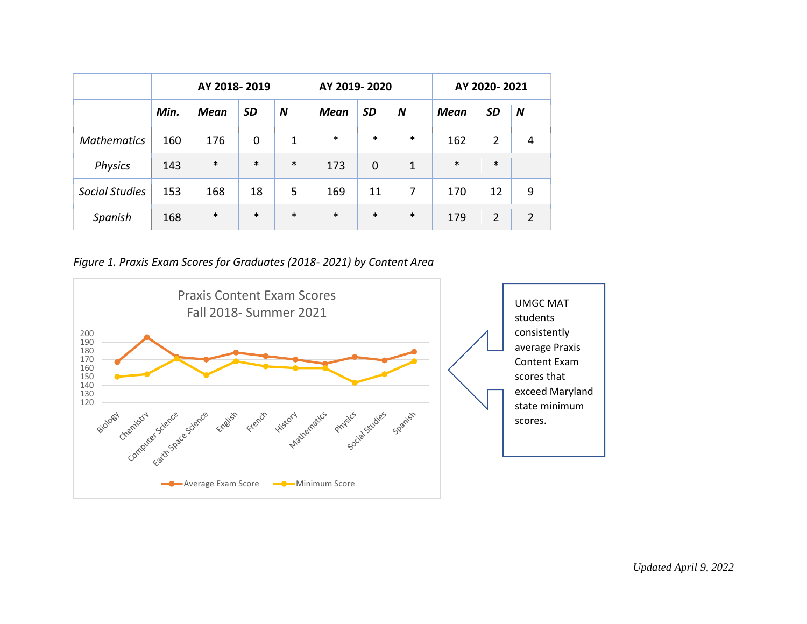|                       |      |             | AY 2018-2019 |        |             | AY 2019-2020 |        | AY 2020-2021 |                |   |
|-----------------------|------|-------------|--------------|--------|-------------|--------------|--------|--------------|----------------|---|
|                       | Min. | <b>Mean</b> | <b>SD</b>    | N      | <b>Mean</b> | <b>SD</b>    | N      | Mean         | <b>SD</b>      | N |
| <b>Mathematics</b>    | 160  | 176         | 0            | 1      | $\ast$      | $\ast$       | $\ast$ | 162          | $\overline{2}$ | 4 |
| <b>Physics</b>        | 143  | $\ast$      | $\ast$       | $\ast$ | 173         | 0            | 1      | $\ast$       | $\ast$         |   |
| <b>Social Studies</b> | 153  | 168         | 18           | 5      | 169         | 11           | 7      | 170          | 12             | 9 |
| Spanish               | 168  | $\ast$      | $\ast$       | $\ast$ | $\ast$      | $\ast$       | $\ast$ | 179          | $\overline{2}$ | 2 |

*Figure 1. Praxis Exam Scores for Graduates (2018- 2021) by Content Area* 

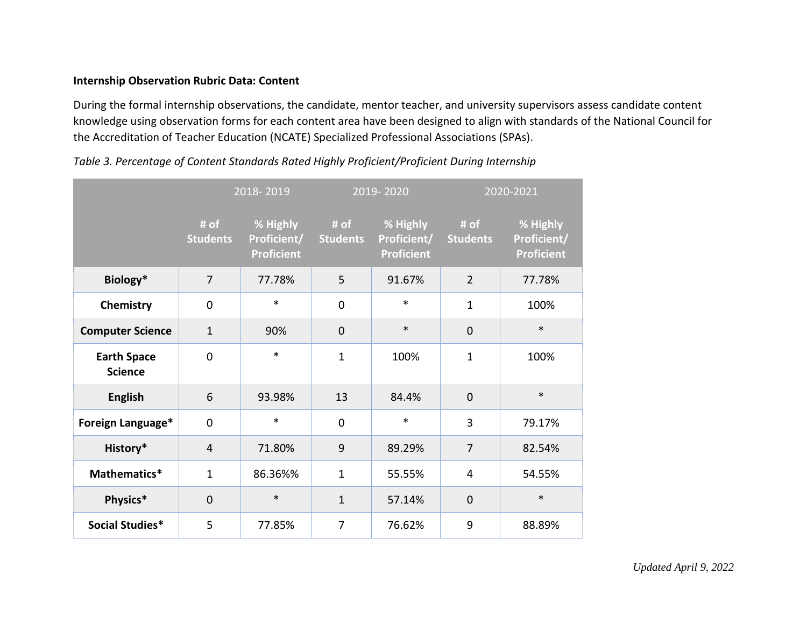### **Internship Observation Rubric Data: Content**

During the formal internship observations, the candidate, mentor teacher, and university supervisors assess candidate content knowledge using observation forms for each content area have been designed to align with standards of the National Council for the Accreditation of Teacher Education (NCATE) Specialized Professional Associations (SPAs).

|                                      |                         | 2018-2019                                    |                         | $2019 - 2020$                                |                         | 2020-2021                                    |  |  |
|--------------------------------------|-------------------------|----------------------------------------------|-------------------------|----------------------------------------------|-------------------------|----------------------------------------------|--|--|
|                                      | # of<br><b>Students</b> | % Highly<br>Proficient/<br><b>Proficient</b> | # of<br><b>Students</b> | % Highly<br>Proficient/<br><b>Proficient</b> | # of<br><b>Students</b> | % Highly<br>Proficient/<br><b>Proficient</b> |  |  |
| Biology*                             | $\overline{7}$          | 77.78%                                       | 5                       | 91.67%                                       | $\overline{2}$          | 77.78%                                       |  |  |
| Chemistry                            | 0                       | $\ast$                                       | $\overline{0}$          | $\ast$                                       | $\mathbf{1}$            | 100%                                         |  |  |
| <b>Computer Science</b>              | $\mathbf{1}$            | 90%                                          | $\mathbf 0$             | $\ast$                                       | $\mathbf 0$             | $\ast$                                       |  |  |
| <b>Earth Space</b><br><b>Science</b> | 0                       | $\ast$                                       | $\mathbf{1}$            | 100%                                         | $\mathbf{1}$            | 100%                                         |  |  |
| <b>English</b>                       | 6                       | 93.98%                                       | 13                      | 84.4%                                        | $\mathbf 0$             | $\ast$                                       |  |  |
| Foreign Language*                    | 0                       | *                                            | $\mathbf 0$             | $\ast$                                       | 3                       | 79.17%                                       |  |  |
| History*                             | $\overline{4}$          | 71.80%                                       | 9                       | 89.29%                                       | $\overline{7}$          | 82.54%                                       |  |  |
| Mathematics*                         | $\mathbf 1$             | 86.36%%                                      | $\mathbf{1}$            | 55.55%                                       | 4                       | 54.55%                                       |  |  |
| Physics*                             | $\mathbf 0$             | $\ast$                                       | $\mathbf{1}$            | 57.14%                                       | $\overline{0}$          | $\ast$                                       |  |  |
| Social Studies*                      | 5                       | 77.85%                                       | 7                       | 76.62%                                       | 9                       | 88.89%                                       |  |  |

*Table 3. Percentage of Content Standards Rated Highly Proficient/Proficient During Internship*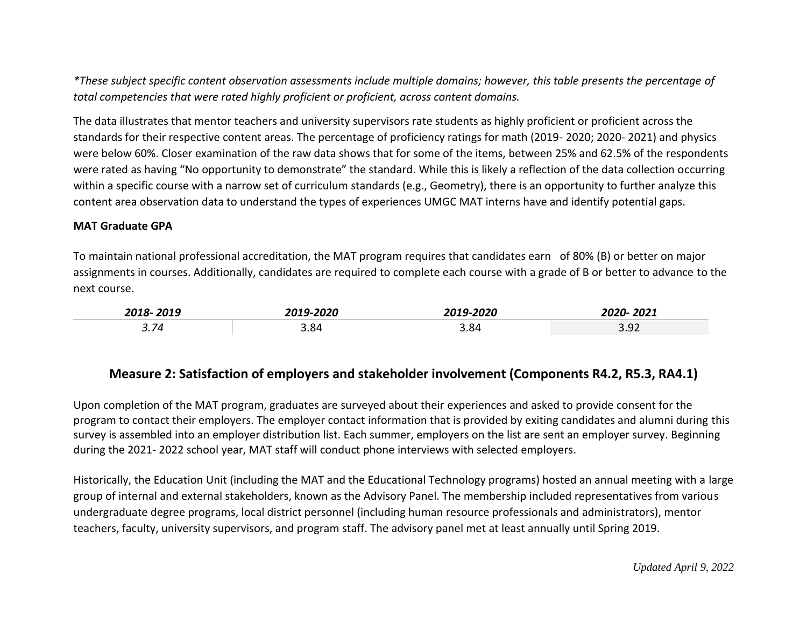*\*These subject specific content observation assessments include multiple domains; however, this table presents the percentage of total competencies that were rated highly proficient or proficient, across content domains.* 

The data illustrates that mentor teachers and university supervisors rate students as highly proficient or proficient across the standards for their respective content areas. The percentage of proficiency ratings for math (2019- 2020; 2020- 2021) and physics were below 60%. Closer examination of the raw data shows that for some of the items, between 25% and 62.5% of the respondents were rated as having "No opportunity to demonstrate" the standard. While this is likely a reflection of the data collection occurring within a specific course with a narrow set of curriculum standards (e.g., Geometry), there is an opportunity to further analyze this content area observation data to understand the types of experiences UMGC MAT interns have and identify potential gaps.

#### **MAT Graduate GPA**

To maintain national professional accreditation, the MAT program requires that candidates earn of 80% (B) or better on major assignments in courses. Additionally, candidates are required to complete each course with a grade of B or better to advance to the next course.

| 2018                                          | $\begin{array}{c} \n\text{and} \\ \end{array}$ | $\mathbf{a}\mathbf{a}\mathbf{a}$ | $\mathbf{a} \mathbf{a} \mathbf{a}$<br>'UZ_ |
|-----------------------------------------------|------------------------------------------------|----------------------------------|--------------------------------------------|
| $\rightarrow$<br>$\overline{\phantom{a}}$<br> | 3.84<br>_____                                  | 3.84                             | $\Omega$<br>. .<br>J.JL                    |

## **Measure 2: Satisfaction of employers and stakeholder involvement (Components R4.2, R5.3, RA4.1)**

Upon completion of the MAT program, graduates are surveyed about their experiences and asked to provide consent for the program to contact their employers. The employer contact information that is provided by exiting candidates and alumni during this survey is assembled into an employer distribution list. Each summer, employers on the list are sent an employer survey. Beginning during the 2021- 2022 school year, MAT staff will conduct phone interviews with selected employers.

Historically, the Education Unit (including the MAT and the Educational Technology programs) hosted an annual meeting with a large group of internal and external stakeholders, known as the Advisory Panel. The membership included representatives from various undergraduate degree programs, local district personnel (including human resource professionals and administrators), mentor teachers, faculty, university supervisors, and program staff. The advisory panel met at least annually until Spring 2019.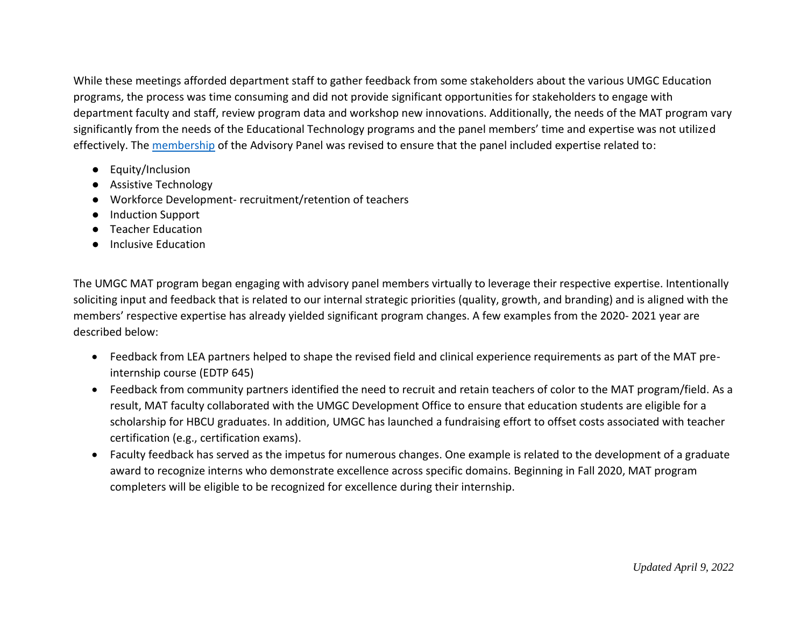While these meetings afforded department staff to gather feedback from some stakeholders about the various UMGC Education programs, the process was time consuming and did not provide significant opportunities for stakeholders to engage with department faculty and staff, review program data and workshop new innovations. Additionally, the needs of the MAT program vary significantly from the needs of the Educational Technology programs and the panel members' time and expertise was not utilized effectively. The [membership](https://umuc365-my.sharepoint.com/:x:/g/personal/monica_simonsen_umgc_edu/EWlsx0jy-1FKpQhvkOt9NFgBa9mXaY6Akj-wYSNipe4U_g?e=EXMacd) of the Advisory Panel was revised to ensure that the panel included expertise related to:

- Equity/Inclusion
- Assistive Technology
- Workforce Development- recruitment/retention of teachers
- Induction Support
- Teacher Education
- Inclusive Education

The UMGC MAT program began engaging with advisory panel members virtually to leverage their respective expertise. Intentionally soliciting input and feedback that is related to our internal strategic priorities (quality, growth, and branding) and is aligned with the members' respective expertise has already yielded significant program changes. A few examples from the 2020- 2021 year are described below:

- Feedback from LEA partners helped to shape the revised field and clinical experience requirements as part of the MAT preinternship course (EDTP 645)
- Feedback from community partners identified the need to recruit and retain teachers of color to the MAT program/field. As a result, MAT faculty collaborated with the UMGC Development Office to ensure that education students are eligible for a scholarship for HBCU graduates. In addition, UMGC has launched a fundraising effort to offset costs associated with teacher certification (e.g., certification exams).
- Faculty feedback has served as the impetus for numerous changes. One example is related to the development of a graduate award to recognize interns who demonstrate excellence across specific domains. Beginning in Fall 2020, MAT program completers will be eligible to be recognized for excellence during their internship.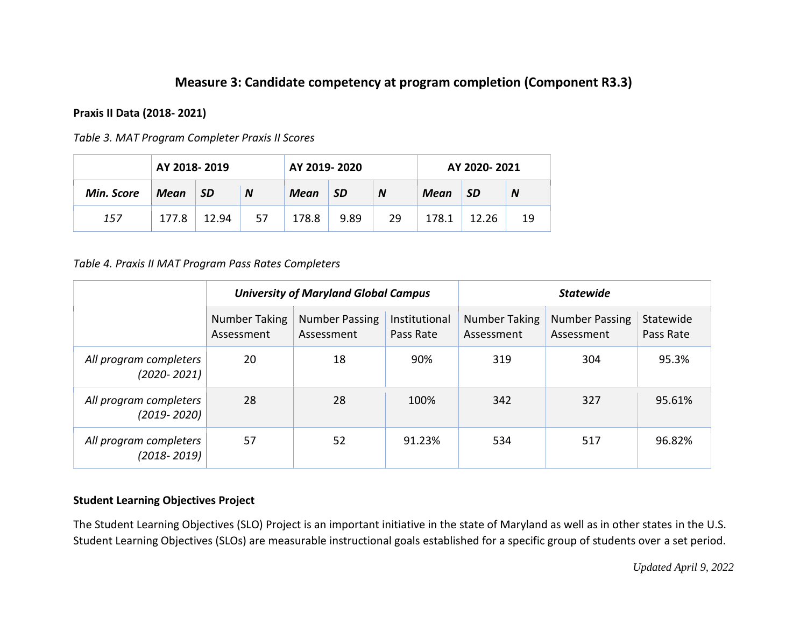# **Measure 3: Candidate competency at program completion (Component R3.3)**

### **Praxis II Data (2018- 2021)**

|            | AY 2018-2019 |           |    | AY 2019-2020 |                |    | AY 2020-2021 |       |    |
|------------|--------------|-----------|----|--------------|----------------|----|--------------|-------|----|
| Min. Score | Mean         | <b>SD</b> | N  | Mean         | <b>SD</b><br>N |    | Mean         | -SD   | N  |
| 157        | 177.8        | 12.94     | 57 | 178.8        | 9.89           | 29 | 178.1        | 12.26 | 19 |

*Table 4. Praxis II MAT Program Pass Rates Completers* 

|                                           |                             | <b>University of Maryland Global Campus</b> |                            | <b>Statewide</b>                   |                                     |                        |  |
|-------------------------------------------|-----------------------------|---------------------------------------------|----------------------------|------------------------------------|-------------------------------------|------------------------|--|
|                                           | Number Taking<br>Assessment | <b>Number Passing</b><br>Assessment         | Institutional<br>Pass Rate | <b>Number Taking</b><br>Assessment | <b>Number Passing</b><br>Assessment | Statewide<br>Pass Rate |  |
| All program completers<br>$(2020 - 2021)$ | 20                          | 18                                          | 90%                        | 319                                | 304                                 | 95.3%                  |  |
| All program completers<br>$(2019 - 2020)$ | 28                          | 28                                          | 100%                       | 342                                | 327                                 | 95.61%                 |  |
| All program completers<br>$(2018 - 2019)$ | 57                          | 52                                          | 91.23%                     | 534                                | 517                                 | 96.82%                 |  |

### **Student Learning Objectives Project**

The Student Learning Objectives (SLO) Project is an important initiative in the state of Maryland as well as in other states in the U.S. Student Learning Objectives (SLOs) are measurable instructional goals established for a specific group of students over a set period.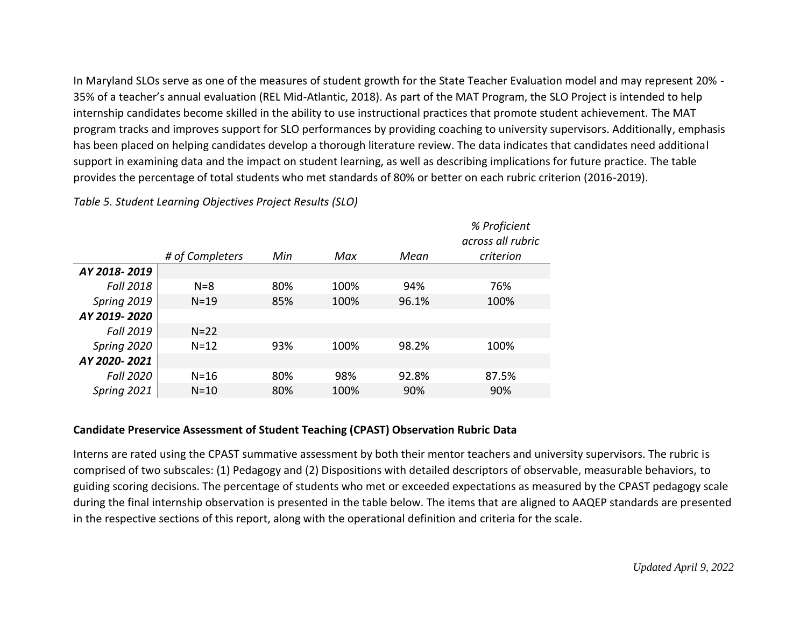In Maryland SLOs serve as one of the measures of student growth for the State Teacher Evaluation model and may represent 20% - 35% of a teacher's annual evaluation (REL Mid-Atlantic, 2018). As part of the MAT Program, the SLO Project is intended to help internship candidates become skilled in the ability to use instructional practices that promote student achievement. The MAT program tracks and improves support for SLO performances by providing coaching to university supervisors. Additionally, emphasis has been placed on helping candidates develop a thorough literature review. The data indicates that candidates need additional support in examining data and the impact on student learning, as well as describing implications for future practice. The table provides the percentage of total students who met standards of 80% or better on each rubric criterion (2016-2019).

*# of Completers Min Max Mean % Proficient across all rubric criterion AY 2018- 2019 Fall 2018* N=8 80% 100% 94% 76% *Spring 2019* **N=19** 85% 100% 96.1% 100% *AY 2019- 2020 Fall 2019* N=22 *Spring 2020* N=12 93% 100% 98.2% 100% *AY 2020- 2021 Fall 2020* N=16 80% 98% 92.8% 87.5% *Spring 2021* **N=10** 80% 100% 90% 90% 90%

*Table 5. Student Learning Objectives Project Results (SLO)* 

### **Candidate Preservice Assessment of Student Teaching (CPAST) Observation Rubric Data**

Interns are rated using the CPAST summative assessment by both their mentor teachers and university supervisors. The rubric is comprised of two subscales: (1) Pedagogy and (2) Dispositions with detailed descriptors of observable, measurable behaviors, to guiding scoring decisions. The percentage of students who met or exceeded expectations as measured by the CPAST pedagogy scale during the final internship observation is presented in the table below. The items that are aligned to AAQEP standards are presented in the respective sections of this report, along with the operational definition and criteria for the scale.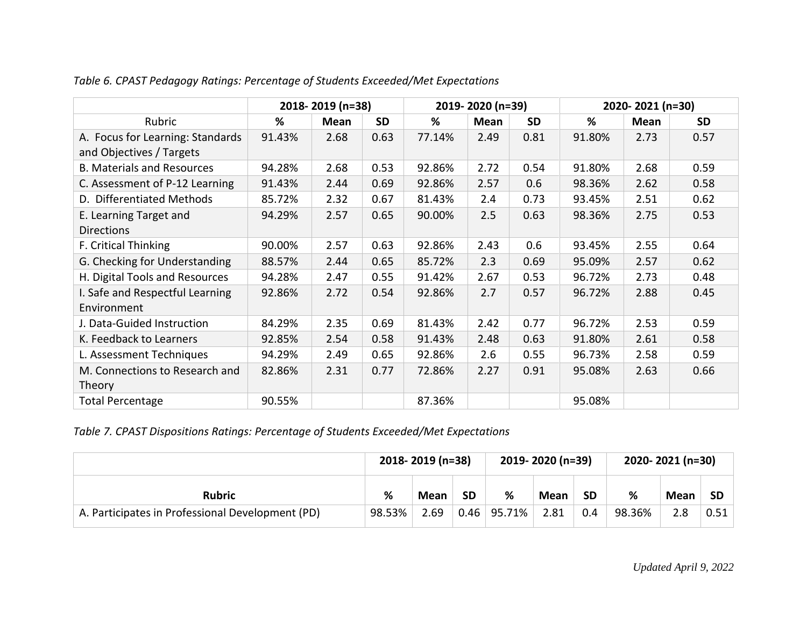|                                   |        | 2018-2019 (n=38) |           |        | 2019-2020 (n=39) |           | 2020-2021 (n=30) |      |           |  |
|-----------------------------------|--------|------------------|-----------|--------|------------------|-----------|------------------|------|-----------|--|
| Rubric                            | %      | Mean             | <b>SD</b> | %      | <b>Mean</b>      | <b>SD</b> | %                | Mean | <b>SD</b> |  |
| A. Focus for Learning: Standards  | 91.43% | 2.68             | 0.63      | 77.14% | 2.49             | 0.81      | 91.80%           | 2.73 | 0.57      |  |
| and Objectives / Targets          |        |                  |           |        |                  |           |                  |      |           |  |
| <b>B. Materials and Resources</b> | 94.28% | 2.68             | 0.53      | 92.86% | 2.72             | 0.54      | 91.80%           | 2.68 | 0.59      |  |
| C. Assessment of P-12 Learning    | 91.43% | 2.44             | 0.69      | 92.86% | 2.57             | 0.6       | 98.36%           | 2.62 | 0.58      |  |
| D. Differentiated Methods         | 85.72% | 2.32             | 0.67      | 81.43% | 2.4              | 0.73      | 93.45%           | 2.51 | 0.62      |  |
| E. Learning Target and            | 94.29% | 2.57             | 0.65      | 90.00% | 2.5              | 0.63      | 98.36%           | 2.75 | 0.53      |  |
| <b>Directions</b>                 |        |                  |           |        |                  |           |                  |      |           |  |
| F. Critical Thinking              | 90.00% | 2.57             | 0.63      | 92.86% | 2.43             | 0.6       | 93.45%           | 2.55 | 0.64      |  |
| G. Checking for Understanding     | 88.57% | 2.44             | 0.65      | 85.72% | 2.3              | 0.69      | 95.09%           | 2.57 | 0.62      |  |
| H. Digital Tools and Resources    | 94.28% | 2.47             | 0.55      | 91.42% | 2.67             | 0.53      | 96.72%           | 2.73 | 0.48      |  |
| I. Safe and Respectful Learning   | 92.86% | 2.72             | 0.54      | 92.86% | 2.7              | 0.57      | 96.72%           | 2.88 | 0.45      |  |
| Environment                       |        |                  |           |        |                  |           |                  |      |           |  |
| J. Data-Guided Instruction        | 84.29% | 2.35             | 0.69      | 81.43% | 2.42             | 0.77      | 96.72%           | 2.53 | 0.59      |  |
| K. Feedback to Learners           | 92.85% | 2.54             | 0.58      | 91.43% | 2.48             | 0.63      | 91.80%           | 2.61 | 0.58      |  |
| L. Assessment Techniques          | 94.29% | 2.49             | 0.65      | 92.86% | 2.6              | 0.55      | 96.73%           | 2.58 | 0.59      |  |
| M. Connections to Research and    | 82.86% | 2.31             | 0.77      | 72.86% | 2.27             | 0.91      | 95.08%           | 2.63 | 0.66      |  |
| Theory                            |        |                  |           |        |                  |           |                  |      |           |  |
| <b>Total Percentage</b>           | 90.55% |                  |           | 87.36% |                  |           | 95.08%           |      |           |  |

*Table 6. CPAST Pedagogy Ratings: Percentage of Students Exceeded/Met Expectations* 

*Table 7. CPAST Dispositions Ratings: Percentage of Students Exceeded/Met Expectations* 

|                                                  | 2018-2019 (n=38) |             |           |        | 2019-2020 (n=39) |           | 2020-2021 (n=30) |      |           |
|--------------------------------------------------|------------------|-------------|-----------|--------|------------------|-----------|------------------|------|-----------|
| <b>Rubric</b>                                    | %                | <b>Mean</b> | <b>SD</b> | %      | <b>Mean</b>      | <b>SD</b> | %                | Mean | <b>SD</b> |
| A. Participates in Professional Development (PD) | 98.53%           | 2.69        | 0.46      | 95.71% | 2.81             | 0.4       | 98.36%           |      | 0.51      |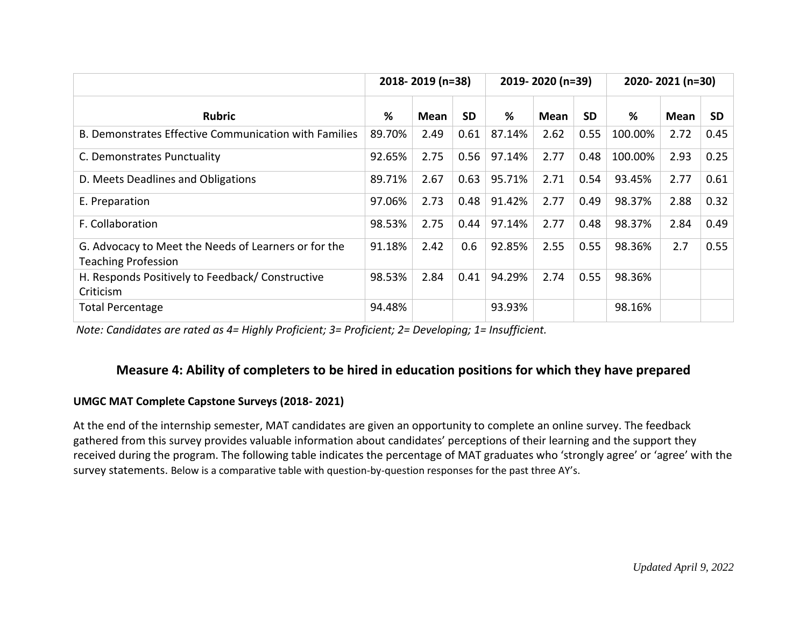|                                                                                    |        | 2018-2019 (n=38) | 2019-2020 (n=39) |        | 2020-2021 (n=30) |           |         |             |           |
|------------------------------------------------------------------------------------|--------|------------------|------------------|--------|------------------|-----------|---------|-------------|-----------|
| <b>Rubric</b>                                                                      | %      | Mean             | <b>SD</b>        | %      | <b>Mean</b>      | <b>SD</b> | %       | <b>Mean</b> | <b>SD</b> |
| B. Demonstrates Effective Communication with Families                              | 89.70% | 2.49             | 0.61             | 87.14% | 2.62             | 0.55      | 100.00% | 2.72        | 0.45      |
| C. Demonstrates Punctuality                                                        | 92.65% | 2.75             | 0.56             | 97.14% | 2.77             | 0.48      | 100.00% | 2.93        | 0.25      |
| D. Meets Deadlines and Obligations                                                 | 89.71% | 2.67             | 0.63             | 95.71% | 2.71             | 0.54      | 93.45%  | 2.77        | 0.61      |
| E. Preparation                                                                     | 97.06% | 2.73             | 0.48             | 91.42% | 2.77             | 0.49      | 98.37%  | 2.88        | 0.32      |
| F. Collaboration                                                                   | 98.53% | 2.75             | 0.44             | 97.14% | 2.77             | 0.48      | 98.37%  | 2.84        | 0.49      |
| G. Advocacy to Meet the Needs of Learners or for the<br><b>Teaching Profession</b> | 91.18% | 2.42             | 0.6              | 92.85% | 2.55             | 0.55      | 98.36%  | 2.7         | 0.55      |
| H. Responds Positively to Feedback/Constructive<br>Criticism                       | 98.53% | 2.84             | 0.41             | 94.29% | 2.74             | 0.55      | 98.36%  |             |           |
| <b>Total Percentage</b>                                                            | 94.48% |                  |                  | 93.93% |                  |           | 98.16%  |             |           |

 *Note: Candidates are rated as 4= Highly Proficient; 3= Proficient; 2= Developing; 1= Insufficient.* 

## **Measure 4: Ability of completers to be hired in education positions for which they have prepared**

### **UMGC MAT Complete Capstone Surveys (2018- 2021)**

At the end of the internship semester, MAT candidates are given an opportunity to complete an online survey. The feedback gathered from this survey provides valuable information about candidates' perceptions of their learning and the support they received during the program. The following table indicates the percentage of MAT graduates who 'strongly agree' or 'agree' with the survey statements. Below is a comparative table with question-by-question responses for the past three AY's.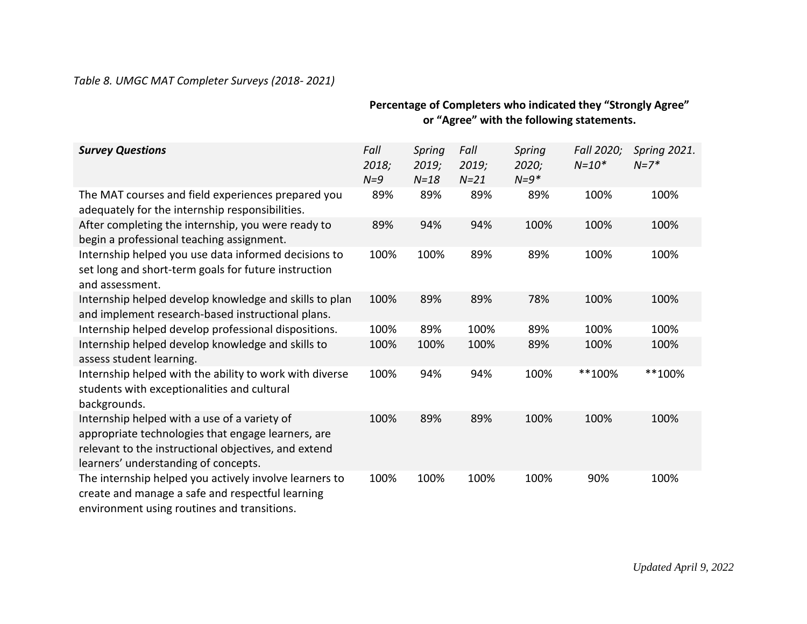### *Table 8. UMGC MAT Completer Surveys (2018- 2021)*

|                                                                                                                                                                                                    |                        |                           |                         | $\cdots$                    |                         |                        |
|----------------------------------------------------------------------------------------------------------------------------------------------------------------------------------------------------|------------------------|---------------------------|-------------------------|-----------------------------|-------------------------|------------------------|
| <b>Survey Questions</b>                                                                                                                                                                            | Fall<br>2018;<br>$N=9$ | Spring<br>2019;<br>$N=18$ | Fall<br>2019;<br>$N=21$ | Spring<br>2020;<br>$N = 9*$ | Fall 2020;<br>$N = 10*$ | Spring 2021.<br>$N=7*$ |
| The MAT courses and field experiences prepared you<br>adequately for the internship responsibilities.                                                                                              | 89%                    | 89%                       | 89%                     | 89%                         | 100%                    | 100%                   |
| After completing the internship, you were ready to<br>begin a professional teaching assignment.                                                                                                    | 89%                    | 94%                       | 94%                     | 100%                        | 100%                    | 100%                   |
| Internship helped you use data informed decisions to<br>set long and short-term goals for future instruction<br>and assessment.                                                                    | 100%                   | 100%                      | 89%                     | 89%                         | 100%                    | 100%                   |
| Internship helped develop knowledge and skills to plan<br>and implement research-based instructional plans.                                                                                        | 100%                   | 89%                       | 89%                     | 78%                         | 100%                    | 100%                   |
| Internship helped develop professional dispositions.                                                                                                                                               | 100%                   | 89%                       | 100%                    | 89%                         | 100%                    | 100%                   |
| Internship helped develop knowledge and skills to<br>assess student learning.                                                                                                                      | 100%                   | 100%                      | 100%                    | 89%                         | 100%                    | 100%                   |
| Internship helped with the ability to work with diverse<br>students with exceptionalities and cultural<br>backgrounds.                                                                             | 100%                   | 94%                       | 94%                     | 100%                        | **100%                  | **100%                 |
| Internship helped with a use of a variety of<br>appropriate technologies that engage learners, are<br>relevant to the instructional objectives, and extend<br>learners' understanding of concepts. | 100%                   | 89%                       | 89%                     | 100%                        | 100%                    | 100%                   |
| The internship helped you actively involve learners to<br>create and manage a safe and respectful learning<br>environment using routines and transitions.                                          | 100%                   | 100%                      | 100%                    | 100%                        | 90%                     | 100%                   |

### **Percentage of Completers who indicated they "Strongly Agree" or "Agree" with the following statements.**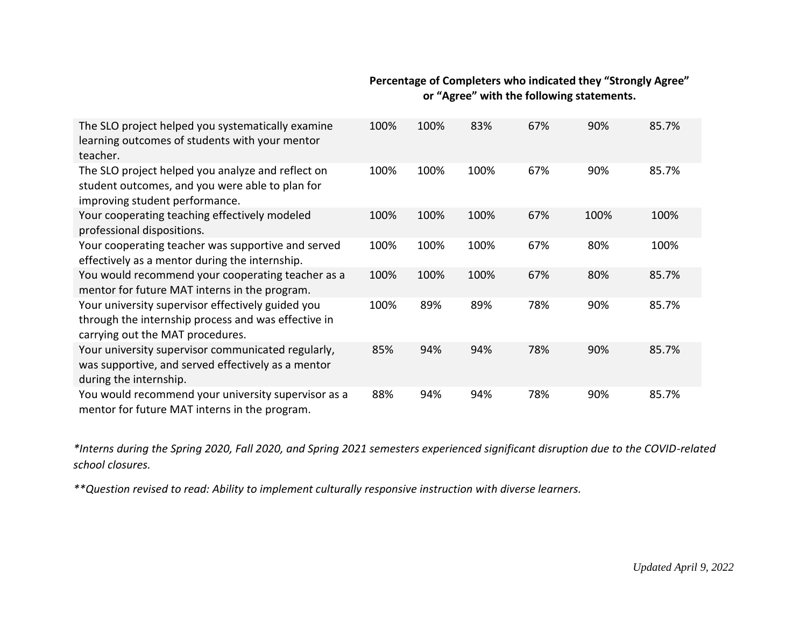## **Percentage of Completers who indicated they "Strongly Agree" or "Agree" with the following statements.**

| The SLO project helped you systematically examine<br>learning outcomes of students with your mentor<br>teacher.                              | 100% | 100% | 83%  | 67% | 90%  | 85.7% |
|----------------------------------------------------------------------------------------------------------------------------------------------|------|------|------|-----|------|-------|
| The SLO project helped you analyze and reflect on<br>student outcomes, and you were able to plan for<br>improving student performance.       | 100% | 100% | 100% | 67% | 90%  | 85.7% |
| Your cooperating teaching effectively modeled<br>professional dispositions.                                                                  | 100% | 100% | 100% | 67% | 100% | 100%  |
| Your cooperating teacher was supportive and served<br>effectively as a mentor during the internship.                                         | 100% | 100% | 100% | 67% | 80%  | 100%  |
| You would recommend your cooperating teacher as a<br>mentor for future MAT interns in the program.                                           | 100% | 100% | 100% | 67% | 80%  | 85.7% |
| Your university supervisor effectively guided you<br>through the internship process and was effective in<br>carrying out the MAT procedures. | 100% | 89%  | 89%  | 78% | 90%  | 85.7% |
| Your university supervisor communicated regularly,<br>was supportive, and served effectively as a mentor<br>during the internship.           | 85%  | 94%  | 94%  | 78% | 90%  | 85.7% |
| You would recommend your university supervisor as a<br>mentor for future MAT interns in the program.                                         | 88%  | 94%  | 94%  | 78% | 90%  | 85.7% |

*\*Interns during the Spring 2020, Fall 2020, and Spring 2021 semesters experienced significant disruption due to the COVID-related school closures.* 

*\*\*Question revised to read: Ability to implement culturally responsive instruction with diverse learners.*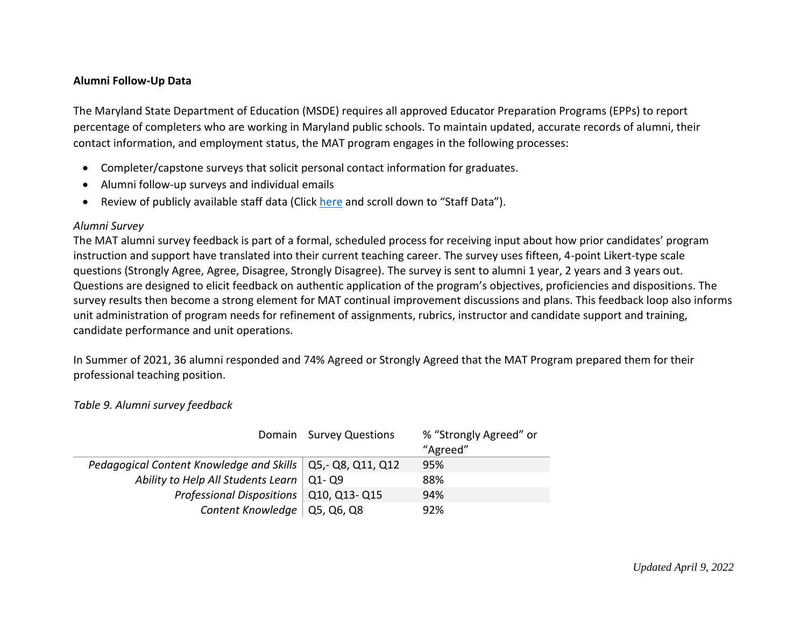#### **Alumni Follow-Up Data**

The Maryland State Department of Education (MSDE) requires all approved Educator Preparation Programs (EPPs) to report percentage of completers who are working in Maryland public schools. To maintain updated, accurate records of alumni, their contact information, and employment status, the MAT program engages in the following processes:

- Completer/capstone surveys that solicit personal contact information for graduates.
- Alumni follow-up surveys and individual emails
- Review of publicly available staff data (Click [here](https://reportcard.msde.maryland.gov/Graphs/#/DataDownloads/datadownload/3/17/6/99/XXXX/2020) and scroll down to "Staff Data").

#### *Alumni Survey*

The MAT alumni survey feedback is part of a formal, scheduled process for receiving input about how prior candidates' program instruction and support have translated into their current teaching career. The survey uses fifteen, 4-point Likert-type scale questions (Strongly Agree, Agree, Disagree, Strongly Disagree). The survey is sent to alumni 1 year, 2 years and 3 years out. Questions are designed to elicit feedback on authentic application of the program's objectives, proficiencies and dispositions. The survey results then become a strong element for MAT continual improvement discussions and plans. This feedback loop also informs unit administration of program needs for refinement of assignments, rubrics, instructor and candidate support and training, candidate performance and unit operations.

In Summer of 2021, 36 alumni responded and 74% Agreed or Strongly Agreed that the MAT Program prepared them for their professional teaching position.

### *Table 9. Alumni survey feedback*

|                                                              | Domain Survey Questions | % "Strongly Agreed" or<br>"Agreed" |
|--------------------------------------------------------------|-------------------------|------------------------------------|
| Pedagogical Content Knowledge and Skills   Q5,- Q8, Q11, Q12 |                         | 95%                                |
| Ability to Help All Students Learn $\vert$ Q1-Q9             |                         | 88%                                |
| Professional Dispositions   Q10, Q13- Q15                    |                         | 94%                                |
| Content Knowledge $\vert$ Q5, Q6, Q8                         |                         | 92%                                |